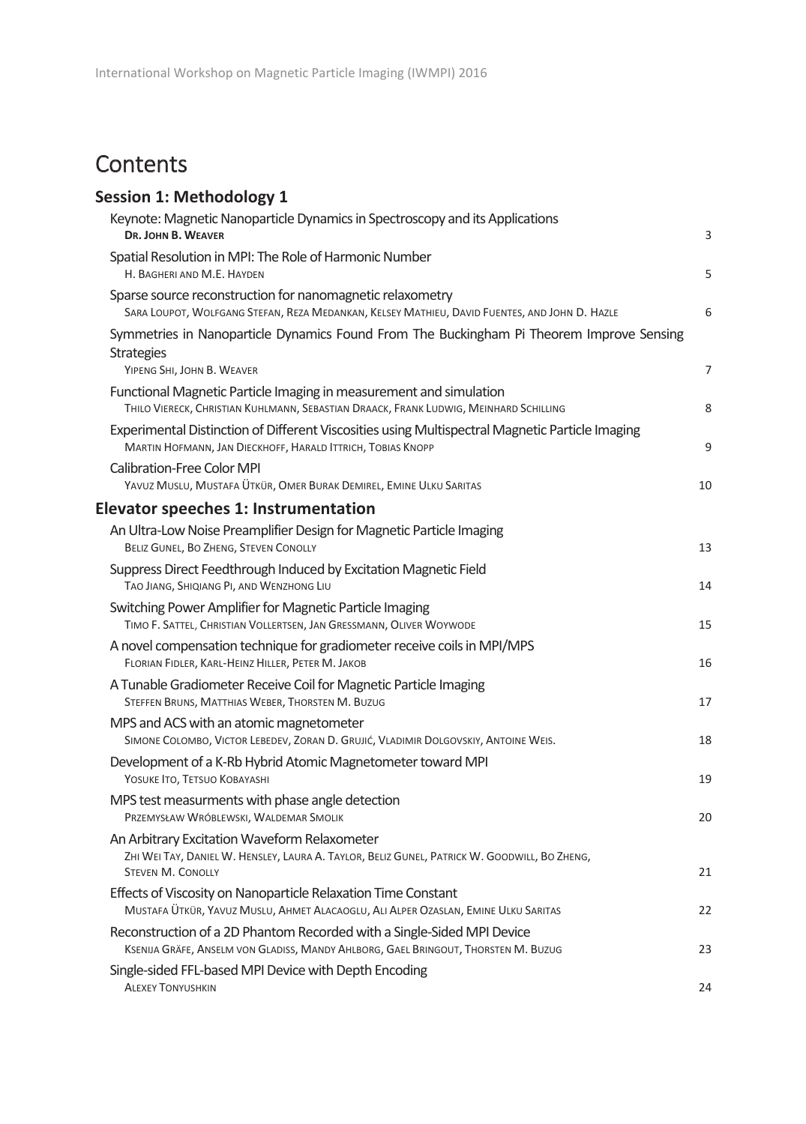## **Contents**

| <b>Session 1: Methodology 1</b>                                                                                                                                          |                |
|--------------------------------------------------------------------------------------------------------------------------------------------------------------------------|----------------|
| Keynote: Magnetic Nanoparticle Dynamics in Spectroscopy and its Applications                                                                                             |                |
| DR. JOHN B. WEAVER                                                                                                                                                       | 3              |
| Spatial Resolution in MPI: The Role of Harmonic Number<br>H. BAGHERI AND M.E. HAYDEN                                                                                     | 5              |
| Sparse source reconstruction for nanomagnetic relaxometry<br>SARA LOUPOT, WOLFGANG STEFAN, REZA MEDANKAN, KELSEY MATHIEU, DAVID FUENTES, AND JOHN D. HAZLE               | 6              |
| Symmetries in Nanoparticle Dynamics Found From The Buckingham Pi Theorem Improve Sensing                                                                                 |                |
| <b>Strategies</b><br>YIPENG SHI, JOHN B. WEAVER                                                                                                                          | $\overline{7}$ |
| Functional Magnetic Particle Imaging in measurement and simulation<br>THILO VIERECK, CHRISTIAN KUHLMANN, SEBASTIAN DRAACK, FRANK LUDWIG, MEINHARD SCHILLING              | 8              |
| Experimental Distinction of Different Viscosities using Multispectral Magnetic Particle Imaging<br>MARTIN HOFMANN, JAN DIECKHOFF, HARALD ITTRICH, TOBIAS KNOPP           | 9              |
| <b>Calibration-Free Color MPI</b>                                                                                                                                        |                |
| YAVUZ MUSLU, MUSTAFA ÜTKÜR, OMER BURAK DEMIREL, EMINE ULKU SARITAS                                                                                                       | 10             |
| Elevator speeches 1: Instrumentation                                                                                                                                     |                |
| An Ultra-Low Noise Preamplifier Design for Magnetic Particle Imaging<br>BELIZ GUNEL, BO ZHENG, STEVEN CONOLLY                                                            | 13             |
| Suppress Direct Feedthrough Induced by Excitation Magnetic Field<br>TAO JIANG, SHIQIANG PI, AND WENZHONG LIU                                                             | 14             |
| Switching Power Amplifier for Magnetic Particle Imaging<br>TIMO F. SATTEL, CHRISTIAN VOLLERTSEN, JAN GRESSMANN, OLIVER WOYWODE                                           | 15             |
| A novel compensation technique for gradiometer receive coils in MPI/MPS<br>FLORIAN FIDLER, KARL-HEINZ HILLER, PETER M. JAKOB                                             | 16             |
| A Tunable Gradiometer Receive Coil for Magnetic Particle Imaging<br>STEFFEN BRUNS, MATTHIAS WEBER, THORSTEN M. BUZUG                                                     | 17             |
| MPS and ACS with an atomic magnetometer<br>SIMONE COLOMBO, VICTOR LEBEDEV, ZORAN D. GRUJIĆ, VLADIMIR DOLGOVSKIY, ANTOINE WEIS.                                           | 18             |
| Development of a K-Rb Hybrid Atomic Magnetometer toward MPI<br>YOSUKE ITO, TETSUO KOBAYASHI                                                                              | 19             |
| MPS test measurments with phase angle detection<br>PRZEMYSŁAW WRÓBLEWSKI, WALDEMAR SMOLIK                                                                                | 20             |
| An Arbitrary Excitation Waveform Relaxometer<br>ZHI WEI TAY, DANIEL W. HENSLEY, LAURA A. TAYLOR, BELIZ GUNEL, PATRICK W. GOODWILL, BO ZHENG,<br><b>STEVEN M. CONOLLY</b> | 21             |
| Effects of Viscosity on Nanoparticle Relaxation Time Constant<br>MUSTAFA ÜTKÜR, YAVUZ MUSLU, AHMET ALACAOGLU, ALI ALPER OZASLAN, EMINE ULKU SARITAS                      | 22             |
| Reconstruction of a 2D Phantom Recorded with a Single-Sided MPI Device<br>KSENIJA GRÄFE, ANSELM VON GLADISS, MANDY AHLBORG, GAEL BRINGOUT, THORSTEN M. BUZUG             | 23             |
| Single-sided FFL-based MPI Device with Depth Encoding<br><b>ALEXEY TONYUSHKIN</b>                                                                                        | 24             |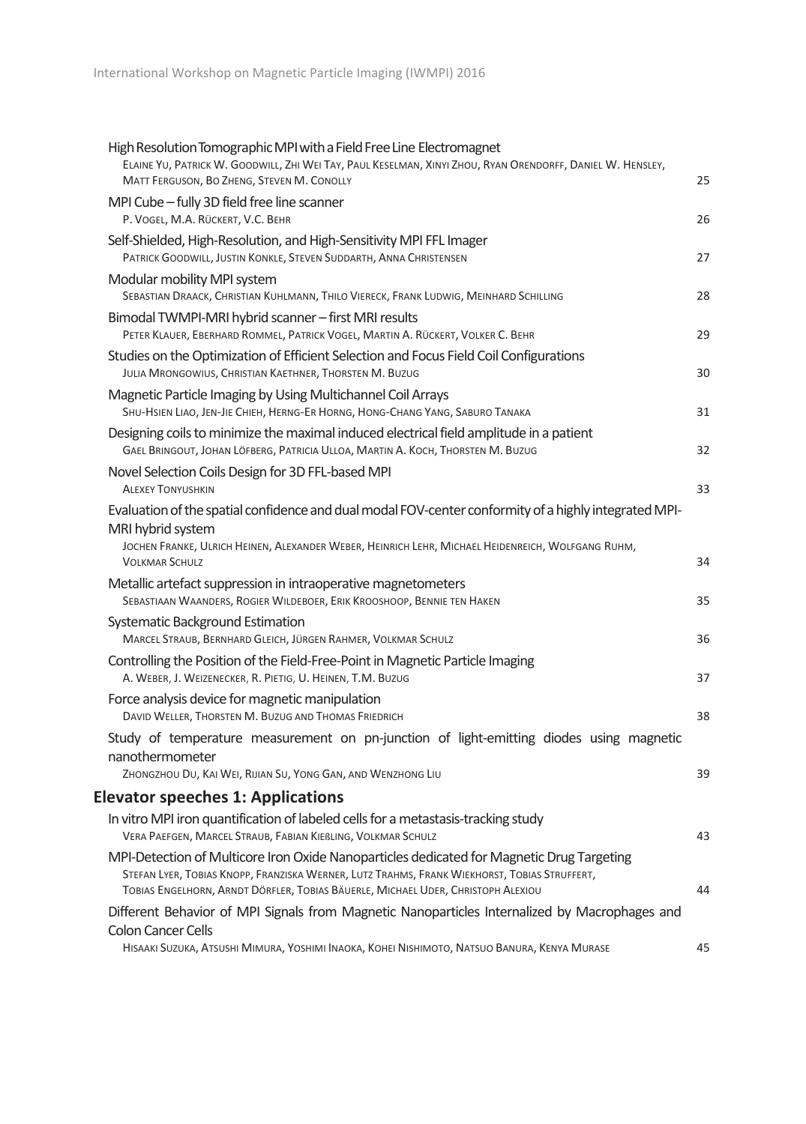| High Resolution Tomographic MPI with a Field Free Line Electromagnet<br>ELAINE YU, PATRICK W. GOODWILL, ZHI WEI TAY, PAUL KESELMAN, XINYI ZHOU, RYAN ORENDORFF, DANIEL W. HENSLEY,<br>MATT FERGUSON, BO ZHENG, STEVEN M. CONOLLY                                              | 25 |
|-------------------------------------------------------------------------------------------------------------------------------------------------------------------------------------------------------------------------------------------------------------------------------|----|
| MPI Cube - fully 3D field free line scanner<br>P. VOGEL, M.A. RÜCKERT, V.C. BEHR                                                                                                                                                                                              | 26 |
| Self-Shielded, High-Resolution, and High-Sensitivity MPI FFL Imager<br>PATRICK GOODWILL, JUSTIN KONKLE, STEVEN SUDDARTH, ANNA CHRISTENSEN                                                                                                                                     | 27 |
| Modular mobility MPI system<br>SEBASTIAN DRAACK, CHRISTIAN KUHLMANN, THILO VIERECK, FRANK LUDWIG, MEINHARD SCHILLING                                                                                                                                                          | 28 |
| Bimodal TWMPI-MRI hybrid scanner - first MRI results<br>PETER KLAUER, EBERHARD ROMMEL, PATRICK VOGEL, MARTIN A. RÜCKERT, VOLKER C. BEHR                                                                                                                                       | 29 |
| Studies on the Optimization of Efficient Selection and Focus Field Coil Configurations<br>JULIA MRONGOWIUS, CHRISTIAN KAETHNER, THORSTEN M. BUZUG                                                                                                                             | 30 |
| Magnetic Particle Imaging by Using Multichannel Coil Arrays<br>SHU-HSIEN LIAO, JEN-JIE CHIEH, HERNG-ER HORNG, HONG-CHANG YANG, SABURO TANAKA                                                                                                                                  | 31 |
| Designing coils to minimize the maximal induced electrical field amplitude in a patient<br>GAEL BRINGOUT, JOHAN LÖFBERG, PATRICIA ULLOA, MARTIN A. KOCH, THORSTEN M. BUZUG                                                                                                    | 32 |
| Novel Selection Coils Design for 3D FFL-based MPI<br><b>ALEXEY TONYUSHKIN</b>                                                                                                                                                                                                 | 33 |
| Evaluation of the spatial confidence and dual modal FOV-center conformity of a highly integrated MPI-<br>MRI hybrid system<br>JOCHEN FRANKE, ULRICH HEINEN, ALEXANDER WEBER, HEINRICH LEHR, MICHAEL HEIDENREICH, WOLFGANG RUHM,<br><b>VOLKMAR SCHULZ</b>                      | 34 |
| Metallic artefact suppression in intraoperative magnetometers<br>SEBASTIAAN WAANDERS, ROGIER WILDEBOER, ERIK KROOSHOOP, BENNIE TEN HAKEN                                                                                                                                      | 35 |
| Systematic Background Estimation<br>MARCEL STRAUB, BERNHARD GLEICH, JÜRGEN RAHMER, VOLKMAR SCHULZ                                                                                                                                                                             | 36 |
| Controlling the Position of the Field-Free-Point in Magnetic Particle Imaging<br>A. WEBER, J. WEIZENECKER, R. PIETIG, U. HEINEN, T.M. BUZUG                                                                                                                                   | 37 |
| Force analysis device for magnetic manipulation<br>DAVID WELLER, THORSTEN M. BUZUG AND THOMAS FRIEDRICH                                                                                                                                                                       | 38 |
| Study of temperature measurement on pn-junction of light-emitting diodes using magnetic<br>nanothermometer<br>ZHONGZHOU DU, KAI WEI, RIJIAN SU, YONG GAN, AND WENZHONG LIU                                                                                                    | 39 |
| <b>Elevator speeches 1: Applications</b>                                                                                                                                                                                                                                      |    |
| In vitro MPI iron quantification of labeled cells for a metastasis-tracking study<br>VERA PAEFGEN, MARCEL STRAUB, FABIAN KIEBLING, VOLKMAR SCHULZ                                                                                                                             | 43 |
| MPI-Detection of Multicore Iron Oxide Nanoparticles dedicated for Magnetic Drug Targeting<br>STEFAN LYER, TOBIAS KNOPP, FRANZISKA WERNER, LUTZ TRAHMS, FRANK WIEKHORST, TOBIAS STRUFFERT,<br>TOBIAS ENGELHORN, ARNDT DÖRFLER, TOBIAS BÄUERLE, MICHAEL UDER, CHRISTOPH ALEXIOU | 44 |
| Different Behavior of MPI Signals from Magnetic Nanoparticles Internalized by Macrophages and<br><b>Colon Cancer Cells</b><br>HISAAKI SUZUKA, ATSUSHI MIMURA, YOSHIMI INAOKA, KOHEI NISHIMOTO, NATSUO BANURA, KENYA MURASE                                                    | 45 |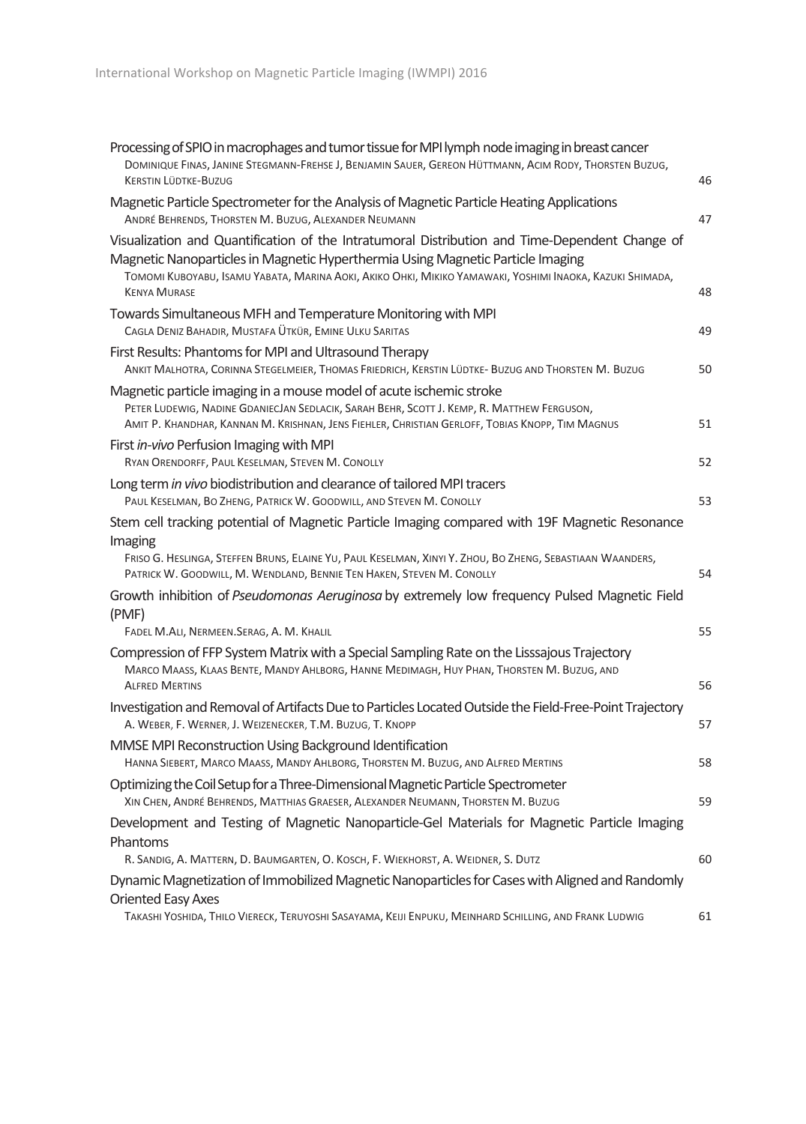| Processing of SPIO in macrophages and tumor tissue for MPI lymph node imaging in breast cancer<br>DOMINIQUE FINAS, JANINE STEGMANN-FREHSE J, BENJAMIN SAUER, GEREON HÜTTMANN, ACIM RODY, THORSTEN BUZUG,<br><b>KERSTIN LÜDTKE-BUZUG</b>                                                                              | 46 |
|----------------------------------------------------------------------------------------------------------------------------------------------------------------------------------------------------------------------------------------------------------------------------------------------------------------------|----|
| Magnetic Particle Spectrometer for the Analysis of Magnetic Particle Heating Applications<br>ANDRÉ BEHRENDS, THORSTEN M. BUZUG, ALEXANDER NEUMANN                                                                                                                                                                    | 47 |
| Visualization and Quantification of the Intratumoral Distribution and Time-Dependent Change of<br>Magnetic Nanoparticles in Magnetic Hyperthermia Using Magnetic Particle Imaging<br>TOMOMI KUBOYABU, ISAMU YABATA, MARINA AOKI, AKIKO OHKI, MIKIKO YAMAWAKI, YOSHIMI INAOKA, KAZUKI SHIMADA,<br><b>KENYA MURASE</b> | 48 |
| Towards Simultaneous MFH and Temperature Monitoring with MPI<br>CAGLA DENIZ BAHADIR, MUSTAFA ÜTKÜR, EMINE ULKU SARITAS                                                                                                                                                                                               | 49 |
| First Results: Phantoms for MPI and Ultrasound Therapy<br>ANKIT MALHOTRA, CORINNA STEGELMEIER, THOMAS FRIEDRICH, KERSTIN LÜDTKE- BUZUG AND THORSTEN M. BUZUG                                                                                                                                                         | 50 |
| Magnetic particle imaging in a mouse model of acute ischemic stroke<br>PETER LUDEWIG, NADINE GDANIECJAN SEDLACIK, SARAH BEHR, SCOTT J. KEMP, R. MATTHEW FERGUSON,<br>AMIT P. KHANDHAR, KANNAN M. KRISHNAN, JENS FIEHLER, CHRISTIAN GERLOFF, TOBIAS KNOPP, TIM MAGNUS                                                 | 51 |
| First in-vivo Perfusion Imaging with MPI<br>RYAN ORENDORFF, PAUL KESELMAN, STEVEN M. CONOLLY                                                                                                                                                                                                                         | 52 |
| Long term in vivo biodistribution and clearance of tailored MPI tracers<br>PAUL KESELMAN, BO ZHENG, PATRICK W. GOODWILL, AND STEVEN M. CONOLLY                                                                                                                                                                       | 53 |
| Stem cell tracking potential of Magnetic Particle Imaging compared with 19F Magnetic Resonance                                                                                                                                                                                                                       |    |
| Imaging<br>FRISO G. HESLINGA, STEFFEN BRUNS, ELAINE YU, PAUL KESELMAN, XINYI Y. ZHOU, BO ZHENG, SEBASTIAAN WAANDERS,<br>PATRICK W. GOODWILL, M. WENDLAND, BENNIE TEN HAKEN, STEVEN M. CONOLLY                                                                                                                        | 54 |
| Growth inhibition of Pseudomonas Aeruginosa by extremely low frequency Pulsed Magnetic Field<br>(PMF)                                                                                                                                                                                                                |    |
| FADEL M.ALI, NERMEEN.SERAG, A. M. KHALIL                                                                                                                                                                                                                                                                             | 55 |
| Compression of FFP System Matrix with a Special Sampling Rate on the Lisssajous Trajectory<br>MARCO MAASS, KLAAS BENTE, MANDY AHLBORG, HANNE MEDIMAGH, HUY PHAN, THORSTEN M. BUZUG, AND<br><b>ALFRED MERTINS</b>                                                                                                     | 56 |
| Investigation and Removal of Artifacts Due to Particles Located Outside the Field-Free-Point Trajectory<br>A. WEBER, F. WERNER, J. WEIZENECKER, T.M. BUZUG, T. KNOPP                                                                                                                                                 | 57 |
| MMSE MPI Reconstruction Using Background Identification<br>HANNA SIEBERT, MARCO MAASS, MANDY AHLBORG, THORSTEN M. BUZUG, AND ALFRED MERTINS                                                                                                                                                                          | 58 |
| Optimizing the Coil Setup for a Three-Dimensional Magnetic Particle Spectrometer<br>XIN CHEN, ANDRÉ BEHRENDS, MATTHIAS GRAESER, ALEXANDER NEUMANN, THORSTEN M. BUZUG                                                                                                                                                 | 59 |
| Development and Testing of Magnetic Nanoparticle-Gel Materials for Magnetic Particle Imaging<br>Phantoms                                                                                                                                                                                                             |    |
| R. SANDIG, A. MATTERN, D. BAUMGARTEN, O. KOSCH, F. WIEKHORST, A. WEIDNER, S. DUTZ                                                                                                                                                                                                                                    | 60 |
| Dynamic Magnetization of Immobilized Magnetic Nanoparticles for Cases with Aligned and Randomly<br><b>Oriented Easy Axes</b>                                                                                                                                                                                         |    |
| TAKASHI YOSHIDA, THILO VIERECK, TERUYOSHI SASAYAMA, KEIJI ENPUKU, MEINHARD SCHILLING, AND FRANK LUDWIG                                                                                                                                                                                                               | 61 |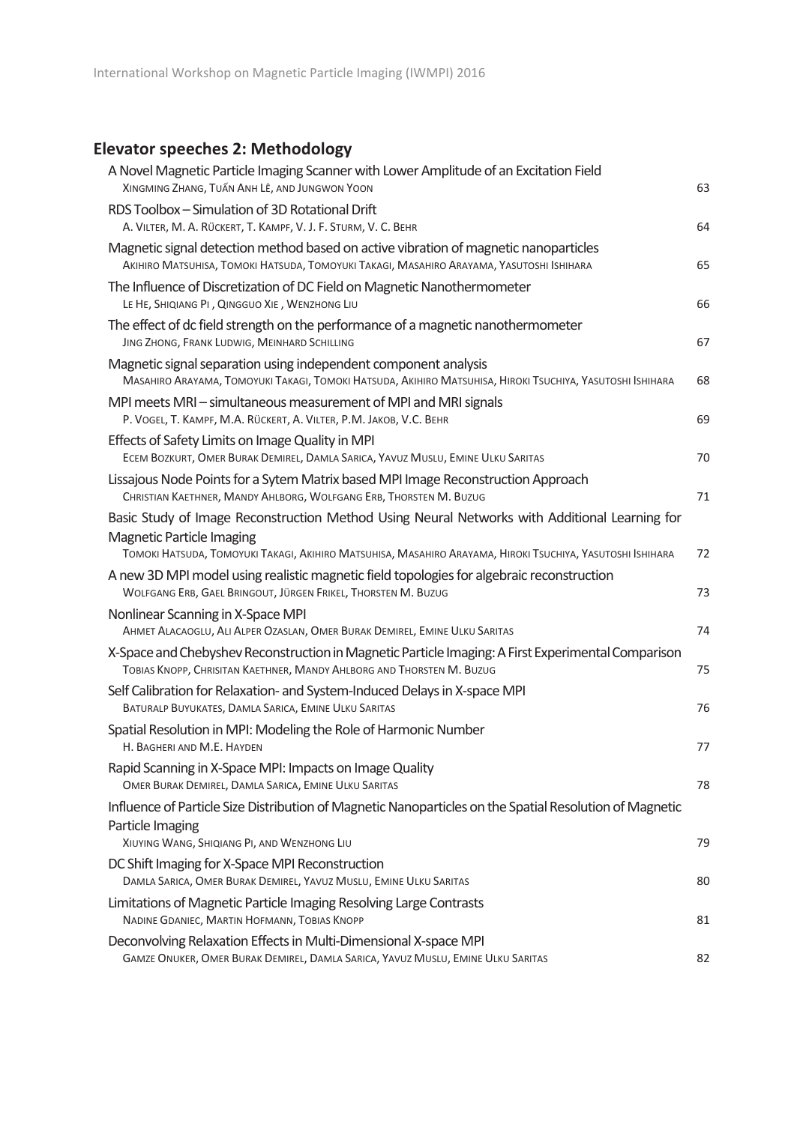## **Elevator speeches 2: Methodology**

| A Novel Magnetic Particle Imaging Scanner with Lower Amplitude of an Excitation Field<br>XINGMING ZHANG, TUẤN ANH LÊ, AND JUNGWON YOON                                                                                                         | 63 |
|------------------------------------------------------------------------------------------------------------------------------------------------------------------------------------------------------------------------------------------------|----|
| RDS Toolbox - Simulation of 3D Rotational Drift<br>A. VILTER, M. A. RÜCKERT, T. KAMPF, V. J. F. STURM, V. C. BEHR                                                                                                                              | 64 |
| Magnetic signal detection method based on active vibration of magnetic nanoparticles<br>AKIHIRO MATSUHISA, TOMOKI HATSUDA, TOMOYUKI TAKAGI, MASAHIRO ARAYAMA, YASUTOSHI ISHIHARA                                                               | 65 |
| The Influence of Discretization of DC Field on Magnetic Nanothermometer<br>LE HE, SHIQIANG PI, QINGGUO XIE, WENZHONG LIU                                                                                                                       | 66 |
| The effect of dc field strength on the performance of a magnetic nanothermometer<br>JING ZHONG, FRANK LUDWIG, MEINHARD SCHILLING                                                                                                               | 67 |
| Magnetic signal separation using independent component analysis<br>MASAHIRO ARAYAMA, TOMOYUKI TAKAGI, TOMOKI HATSUDA, AKIHIRO MATSUHISA, HIROKI TSUCHIYA, YASUTOSHI ISHIHARA                                                                   | 68 |
| MPI meets MRI – simultaneous measurement of MPI and MRI signals<br>P. VOGEL, T. KAMPF, M.A. RÜCKERT, A. VILTER, P.M. JAKOB, V.C. BEHR                                                                                                          | 69 |
| Effects of Safety Limits on Image Quality in MPI<br>ECEM BOZKURT, OMER BURAK DEMIREL, DAMLA SARICA, YAVUZ MUSLU, EMINE ULKU SARITAS                                                                                                            | 70 |
| Lissajous Node Points for a Sytem Matrix based MPI Image Reconstruction Approach<br>CHRISTIAN KAETHNER, MANDY AHLBORG, WOLFGANG ERB, THORSTEN M. BUZUG                                                                                         | 71 |
| Basic Study of Image Reconstruction Method Using Neural Networks with Additional Learning for<br><b>Magnetic Particle Imaging</b><br>TOMOKI HATSUDA, TOMOYUKI TAKAGI, AKIHIRO MATSUHISA, MASAHIRO ARAYAMA, HIROKI TSUCHIYA, YASUTOSHI ISHIHARA | 72 |
| A new 3D MPI model using realistic magnetic field topologies for algebraic reconstruction<br>WOLFGANG ERB, GAEL BRINGOUT, JÜRGEN FRIKEL, THORSTEN M. BUZUG                                                                                     | 73 |
| Nonlinear Scanning in X-Space MPI<br>AHMET ALACAOGLU, ALI ALPER OZASLAN, OMER BURAK DEMIREL, EMINE ULKU SARITAS                                                                                                                                | 74 |
| X-Space and Chebyshev Reconstruction in Magnetic Particle Imaging: A First Experimental Comparison<br>TOBIAS KNOPP, CHRISITAN KAETHNER, MANDY AHLBORG AND THORSTEN M. BUZUG                                                                    | 75 |
| Self Calibration for Relaxation- and System-Induced Delays in X-space MPI<br>BATURALP BUYUKATES, DAMLA SARICA, EMINE ULKU SARITAS                                                                                                              | 76 |
| Spatial Resolution in MPI: Modeling the Role of Harmonic Number<br>H. BAGHERI AND M.E. HAYDEN                                                                                                                                                  | 77 |
| Rapid Scanning in X-Space MPI: Impacts on Image Quality<br>OMER BURAK DEMIREL, DAMLA SARICA, EMINE ULKU SARITAS                                                                                                                                | 78 |
| Influence of Particle Size Distribution of Magnetic Nanoparticles on the Spatial Resolution of Magnetic<br>Particle Imaging<br>XIUYING WANG, SHIQIANG PI, AND WENZHONG LIU                                                                     | 79 |
| DC Shift Imaging for X-Space MPI Reconstruction<br>DAMLA SARICA, OMER BURAK DEMIREL, YAVUZ MUSLU, EMINE ULKU SARITAS                                                                                                                           | 80 |
| Limitations of Magnetic Particle Imaging Resolving Large Contrasts<br>NADINE GDANIEC, MARTIN HOFMANN, TOBIAS KNOPP                                                                                                                             | 81 |
| Deconvolving Relaxation Effects in Multi-Dimensional X-space MPI<br>GAMZE ONUKER, OMER BURAK DEMIREL, DAMLA SARICA, YAVUZ MUSLU, EMINE ULKU SARITAS                                                                                            | 82 |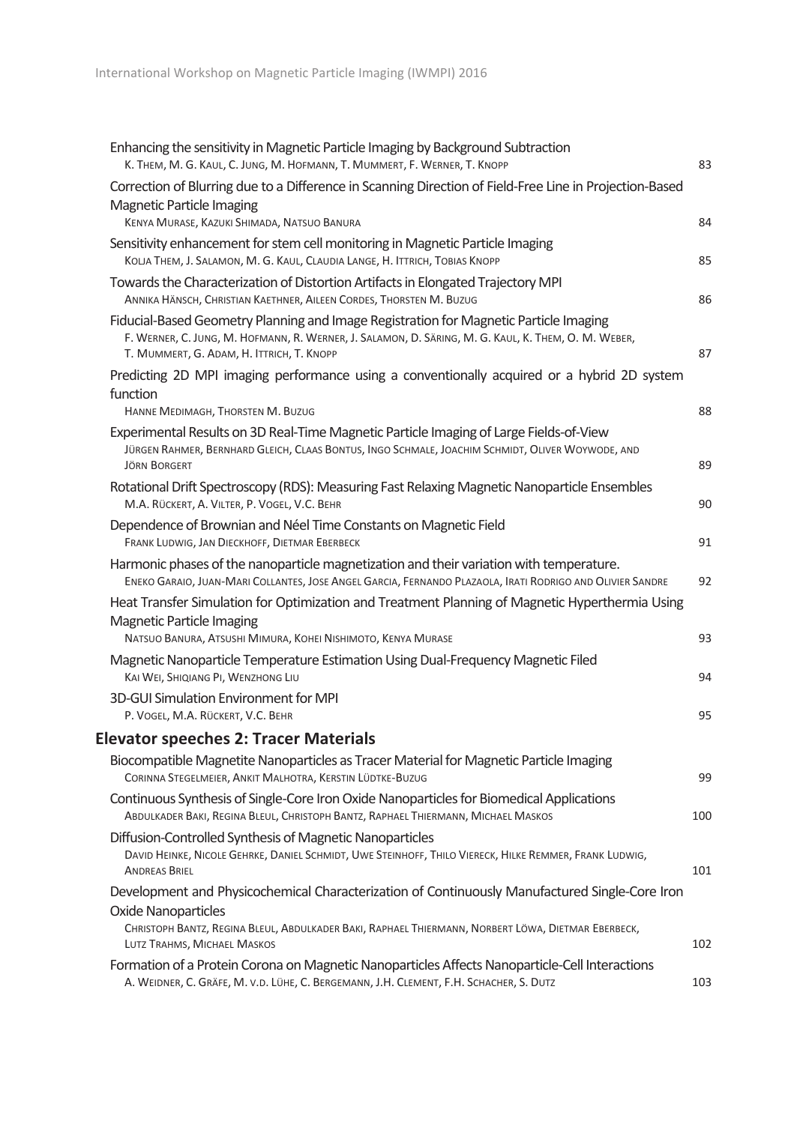| Enhancing the sensitivity in Magnetic Particle Imaging by Background Subtraction<br>K. THEM, M. G. KAUL, C. JUNG, M. HOFMANN, T. MUMMERT, F. WERNER, T. KNOPP                                                                             | 83  |
|-------------------------------------------------------------------------------------------------------------------------------------------------------------------------------------------------------------------------------------------|-----|
| Correction of Blurring due to a Difference in Scanning Direction of Field-Free Line in Projection-Based<br><b>Magnetic Particle Imaging</b>                                                                                               |     |
| KENYA MURASE, KAZUKI SHIMADA, NATSUO BANURA                                                                                                                                                                                               | 84  |
| Sensitivity enhancement for stem cell monitoring in Magnetic Particle Imaging<br>KOLJA THEM, J. SALAMON, M. G. KAUL, CLAUDIA LANGE, H. ITTRICH, TOBIAS KNOPP                                                                              | 85  |
| Towards the Characterization of Distortion Artifacts in Elongated Trajectory MPI<br>ANNIKA HÄNSCH, CHRISTIAN KAETHNER, AILEEN CORDES, THORSTEN M. BUZUG                                                                                   | 86  |
| Fiducial-Based Geometry Planning and Image Registration for Magnetic Particle Imaging<br>F. WERNER, C. JUNG, M. HOFMANN, R. WERNER, J. SALAMON, D. SÄRING, M. G. KAUL, K. THEM, O. M. WEBER,<br>T. MUMMERT, G. ADAM, H. ITTRICH, T. KNOPP | 87  |
| Predicting 2D MPI imaging performance using a conventionally acquired or a hybrid 2D system<br>function<br>HANNE MEDIMAGH, THORSTEN M. BUZUG                                                                                              | 88  |
| Experimental Results on 3D Real-Time Magnetic Particle Imaging of Large Fields-of-View                                                                                                                                                    |     |
| JÜRGEN RAHMER, BERNHARD GLEICH, CLAAS BONTUS, INGO SCHMALE, JOACHIM SCHMIDT, OLIVER WOYWODE, AND<br><b>JÖRN BORGERT</b>                                                                                                                   | 89  |
| Rotational Drift Spectroscopy (RDS): Measuring Fast Relaxing Magnetic Nanoparticle Ensembles<br>M.A. RÜCKERT, A. VILTER, P. VOGEL, V.C. BEHR                                                                                              | 90  |
| Dependence of Brownian and Néel Time Constants on Magnetic Field<br>FRANK LUDWIG, JAN DIECKHOFF, DIETMAR EBERBECK                                                                                                                         | 91  |
| Harmonic phases of the nanoparticle magnetization and their variation with temperature.<br>ENEKO GARAIO, JUAN-MARI COLLANTES, JOSE ANGEL GARCIA, FERNANDO PLAZAOLA, IRATI RODRIGO AND OLIVIER SANDRE                                      | 92  |
| Heat Transfer Simulation for Optimization and Treatment Planning of Magnetic Hyperthermia Using<br>Magnetic Particle Imaging                                                                                                              |     |
| NATSUO BANURA, ATSUSHI MIMURA, KOHEI NISHIMOTO, KENYA MURASE<br>Magnetic Nanoparticle Temperature Estimation Using Dual-Frequency Magnetic Filed                                                                                          | 93  |
| KAI WEI, SHIQIANG PI, WENZHONG LIU                                                                                                                                                                                                        | 94  |
| 3D-GUI Simulation Environment for MPI<br>P. VOGEL, M.A. RÜCKERT, V.C. BEHR                                                                                                                                                                | 95  |
| <b>Elevator speeches 2: Tracer Materials</b>                                                                                                                                                                                              |     |
| Biocompatible Magnetite Nanoparticles as Tracer Material for Magnetic Particle Imaging<br>CORINNA STEGELMEIER, ANKIT MALHOTRA, KERSTIN LÜDTKE-BUZUG                                                                                       | 99  |
| Continuous Synthesis of Single-Core Iron Oxide Nanoparticles for Biomedical Applications<br>ABDULKADER BAKI, REGINA BLEUL, CHRISTOPH BANTZ, RAPHAEL THIERMANN, MICHAEL MASKOS                                                             | 100 |
| Diffusion-Controlled Synthesis of Magnetic Nanoparticles<br>DAVID HEINKE, NICOLE GEHRKE, DANIEL SCHMIDT, UWE STEINHOFF, THILO VIERECK, HILKE REMMER, FRANK LUDWIG,<br><b>ANDREAS BRIEL</b>                                                | 101 |
| Development and Physicochemical Characterization of Continuously Manufactured Single-Core Iron<br><b>Oxide Nanoparticles</b>                                                                                                              |     |
| CHRISTOPH BANTZ, REGINA BLEUL, ABDULKADER BAKI, RAPHAEL THIERMANN, NORBERT LÖWA, DIETMAR EBERBECK,<br>LUTZ TRAHMS, MICHAEL MASKOS                                                                                                         | 102 |
| Formation of a Protein Corona on Magnetic Nanoparticles Affects Nanoparticle-Cell Interactions<br>A. WEIDNER, C. GRÄFE, M. V.D. LÜHE, C. BERGEMANN, J.H. CLEMENT, F.H. SCHACHER, S. DUTZ                                                  | 103 |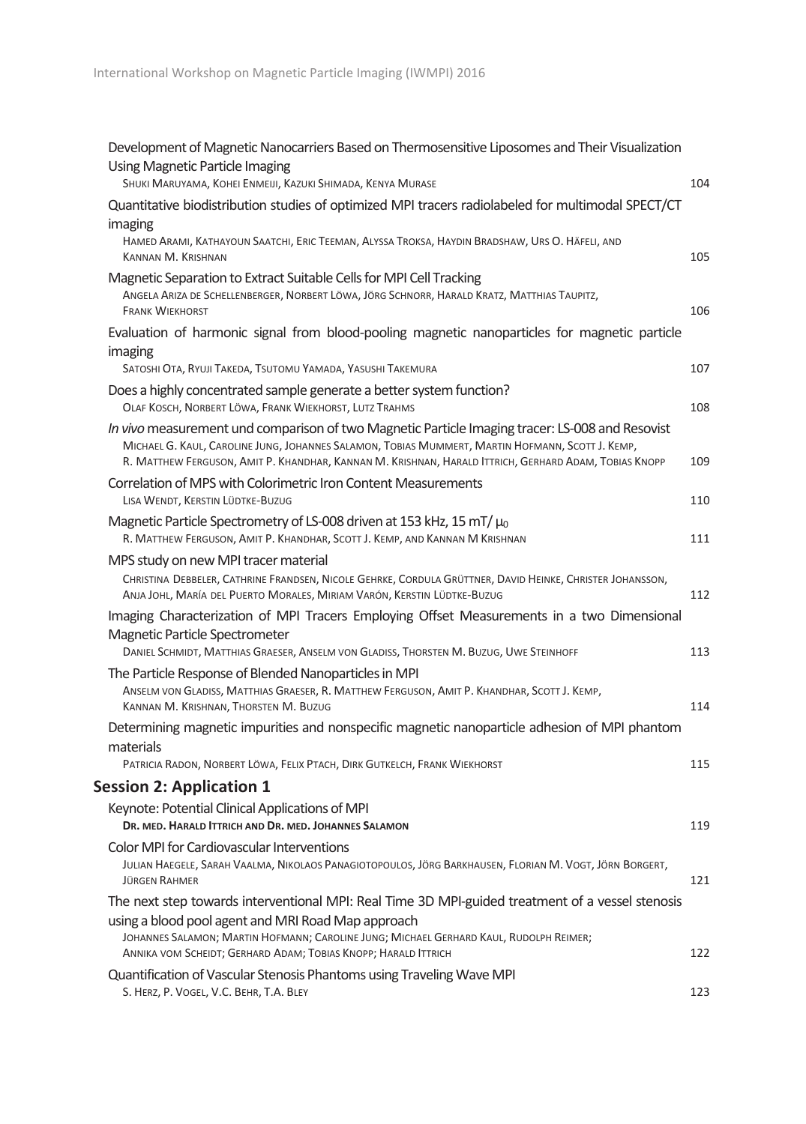| Development of Magnetic Nanocarriers Based on Thermosensitive Liposomes and Their Visualization                                                                                                                                                                                                                    |     |
|--------------------------------------------------------------------------------------------------------------------------------------------------------------------------------------------------------------------------------------------------------------------------------------------------------------------|-----|
| <b>Using Magnetic Particle Imaging</b><br>SHUKI MARUYAMA, KOHEI ENMEIJI, KAZUKI SHIMADA, KENYA MURASE                                                                                                                                                                                                              | 104 |
| Quantitative biodistribution studies of optimized MPI tracers radiolabeled for multimodal SPECT/CT                                                                                                                                                                                                                 |     |
| imaging<br>HAMED ARAMI, KATHAYOUN SAATCHI, ERIC TEEMAN, ALYSSA TROKSA, HAYDIN BRADSHAW, URS O. HÄFELI, AND<br>KANNAN M. KRISHNAN                                                                                                                                                                                   | 105 |
| Magnetic Separation to Extract Suitable Cells for MPI Cell Tracking<br>ANGELA ARIZA DE SCHELLENBERGER, NORBERT LÖWA, JÖRG SCHNORR, HARALD KRATZ, MATTHIAS TAUPITZ,<br><b>FRANK WIEKHORST</b>                                                                                                                       | 106 |
| Evaluation of harmonic signal from blood-pooling magnetic nanoparticles for magnetic particle<br>imaging<br>SATOSHI OTA, RYUJI TAKEDA, TSUTOMU YAMADA, YASUSHI TAKEMURA                                                                                                                                            | 107 |
| Does a highly concentrated sample generate a better system function?<br>OLAF KOSCH, NORBERT LÖWA, FRANK WIEKHORST, LUTZ TRAHMS                                                                                                                                                                                     | 108 |
| In vivo measurement und comparison of two Magnetic Particle Imaging tracer: LS-008 and Resovist<br>MICHAEL G. KAUL, CAROLINE JUNG, JOHANNES SALAMON, TOBIAS MUMMERT, MARTIN HOFMANN, SCOTT J. KEMP,<br>R. MATTHEW FERGUSON, AMIT P. KHANDHAR, KANNAN M. KRISHNAN, HARALD ITTRICH, GERHARD ADAM, TOBIAS KNOPP       | 109 |
| Correlation of MPS with Colorimetric Iron Content Measurements<br>LISA WENDT, KERSTIN LÜDTKE-BUZUG                                                                                                                                                                                                                 | 110 |
| Magnetic Particle Spectrometry of LS-008 driven at 153 kHz, 15 mT/ $\mu_0$<br>R. MATTHEW FERGUSON, AMIT P. KHANDHAR, SCOTT J. KEMP, AND KANNAN M KRISHNAN                                                                                                                                                          | 111 |
| MPS study on new MPI tracer material<br>CHRISTINA DEBBELER, CATHRINE FRANDSEN, NICOLE GEHRKE, CORDULA GRÜTTNER, DAVID HEINKE, CHRISTER JOHANSSON,<br>ANJA JOHL, MARÍA DEL PUERTO MORALES, MIRIAM VARÓN, KERSTIN LÜDTKE-BUZUG                                                                                       | 112 |
| Imaging Characterization of MPI Tracers Employing Offset Measurements in a two Dimensional<br>Magnetic Particle Spectrometer<br>DANIEL SCHMIDT, MATTHIAS GRAESER, ANSELM VON GLADISS, THORSTEN M. BUZUG, UWE STEINHOFF                                                                                             | 113 |
| The Particle Response of Blended Nanoparticles in MPI<br>ANSELM VON GLADISS, MATTHIAS GRAESER, R. MATTHEW FERGUSON, AMIT P. KHANDHAR, SCOTT J. KEMP,<br>KANNAN M. KRISHNAN, THORSTEN M. BUZUG                                                                                                                      | 114 |
| Determining magnetic impurities and nonspecific magnetic nanoparticle adhesion of MPI phantom<br>materials                                                                                                                                                                                                         |     |
| PATRICIA RADON, NORBERT LÖWA, FELIX PTACH, DIRK GUTKELCH, FRANK WIEKHORST                                                                                                                                                                                                                                          | 115 |
| <b>Session 2: Application 1</b>                                                                                                                                                                                                                                                                                    |     |
| Keynote: Potential Clinical Applications of MPI<br>DR. MED. HARALD ITTRICH AND DR. MED. JOHANNES SALAMON                                                                                                                                                                                                           | 119 |
| <b>Color MPI for Cardiovascular Interventions</b><br>JULIAN HAEGELE, SARAH VAALMA, NIKOLAOS PANAGIOTOPOULOS, JÖRG BARKHAUSEN, FLORIAN M. VOGT, JÖRN BORGERT,<br><b>JÜRGEN RAHMER</b>                                                                                                                               | 121 |
| The next step towards interventional MPI: Real Time 3D MPI-guided treatment of a vessel stenosis<br>using a blood pool agent and MRI Road Map approach<br>JOHANNES SALAMON; MARTIN HOFMANN; CAROLINE JUNG; MICHAEL GERHARD KAUL, RUDOLPH REIMER;<br>ANNIKA VOM SCHEIDT; GERHARD ADAM; TOBIAS KNOPP; HARALD ITTRICH | 122 |
| Quantification of Vascular Stenosis Phantoms using Traveling Wave MPI<br>S. HERZ, P. VOGEL, V.C. BEHR, T.A. BLEY                                                                                                                                                                                                   | 123 |
|                                                                                                                                                                                                                                                                                                                    |     |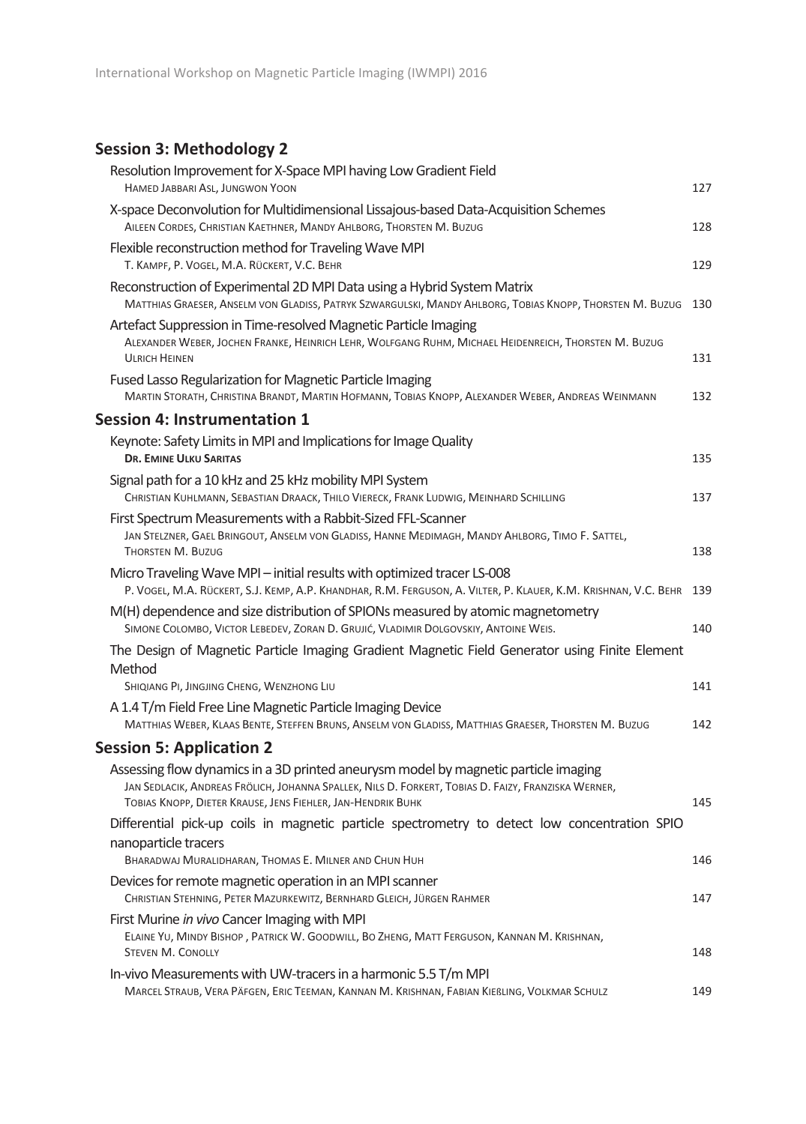## **Session 3: Methodology 2**

| Resolution Improvement for X-Space MPI having Low Gradient Field<br>HAMED JABBARI ASL, JUNGWON YOON                                                                                                                                                       | 127 |
|-----------------------------------------------------------------------------------------------------------------------------------------------------------------------------------------------------------------------------------------------------------|-----|
| X-space Deconvolution for Multidimensional Lissajous-based Data-Acquisition Schemes<br>AILEEN CORDES, CHRISTIAN KAETHNER, MANDY AHLBORG, THORSTEN M. BUZUG                                                                                                | 128 |
| Flexible reconstruction method for Traveling Wave MPI<br>T. KAMPF, P. VOGEL, M.A. RÜCKERT, V.C. BEHR                                                                                                                                                      | 129 |
| Reconstruction of Experimental 2D MPI Data using a Hybrid System Matrix<br>MATTHIAS GRAESER, ANSELM VON GLADISS, PATRYK SZWARGULSKI, MANDY AHLBORG, TOBIAS KNOPP, THORSTEN M. BUZUG                                                                       | 130 |
| Artefact Suppression in Time-resolved Magnetic Particle Imaging<br>ALEXANDER WEBER, JOCHEN FRANKE, HEINRICH LEHR, WOLFGANG RUHM, MICHAEL HEIDENREICH, THORSTEN M. BUZUG<br><b>ULRICH HEINEN</b>                                                           | 131 |
| Fused Lasso Regularization for Magnetic Particle Imaging<br>MARTIN STORATH, CHRISTINA BRANDT, MARTIN HOFMANN, TOBIAS KNOPP, ALEXANDER WEBER, ANDREAS WEINMANN                                                                                             | 132 |
| <b>Session 4: Instrumentation 1</b>                                                                                                                                                                                                                       |     |
| Keynote: Safety Limits in MPI and Implications for Image Quality<br><b>DR. EMINE ULKU SARITAS</b>                                                                                                                                                         | 135 |
| Signal path for a 10 kHz and 25 kHz mobility MPI System<br>CHRISTIAN KUHLMANN, SEBASTIAN DRAACK, THILO VIERECK, FRANK LUDWIG, MEINHARD SCHILLING                                                                                                          | 137 |
| First Spectrum Measurements with a Rabbit-Sized FFL-Scanner<br>JAN STELZNER, GAEL BRINGOUT, ANSELM VON GLADISS, HANNE MEDIMAGH, MANDY AHLBORG, TIMO F. SATTEL,<br><b>THORSTEN M. BUZUG</b>                                                                | 138 |
| Micro Traveling Wave MPI - initial results with optimized tracer LS-008<br>P. VOGEL, M.A. RÜCKERT, S.J. KEMP, A.P. KHANDHAR, R.M. FERGUSON, A. VILTER, P. KLAUER, K.M. KRISHNAN, V.C. BEHR                                                                | 139 |
| M(H) dependence and size distribution of SPIONs measured by atomic magnetometry<br>SIMONE COLOMBO, VICTOR LEBEDEV, ZORAN D. GRUJIĆ, VLADIMIR DOLGOVSKIY, ANTOINE WEIS.                                                                                    | 140 |
| The Design of Magnetic Particle Imaging Gradient Magnetic Field Generator using Finite Element<br>Method                                                                                                                                                  |     |
| SHIQIANG PI, JINGJING CHENG, WENZHONG LIU                                                                                                                                                                                                                 | 141 |
| A 1.4 T/m Field Free Line Magnetic Particle Imaging Device<br>MATTHIAS WEBER, KLAAS BENTE, STEFFEN BRUNS, ANSELM VON GLADISS, MATTHIAS GRAESER, THORSTEN M. BUZUG                                                                                         | 142 |
| <b>Session 5: Application 2</b>                                                                                                                                                                                                                           |     |
| Assessing flow dynamics in a 3D printed aneurysm model by magnetic particle imaging<br>JAN SEDLACIK, ANDREAS FRÖLICH, JOHANNA SPALLEK, NILS D. FORKERT, TOBIAS D. FAIZY, FRANZISKA WERNER,<br>TOBIAS KNOPP, DIETER KRAUSE, JENS FIEHLER, JAN-HENDRIK BUHK | 145 |
| Differential pick-up coils in magnetic particle spectrometry to detect low concentration SPIO<br>nanoparticle tracers<br>BHARADWAJ MURALIDHARAN, THOMAS E. MILNER AND CHUN HUH                                                                            | 146 |
| Devices for remote magnetic operation in an MPI scanner                                                                                                                                                                                                   |     |
| CHRISTIAN STEHNING, PETER MAZURKEWITZ, BERNHARD GLEICH, JÜRGEN RAHMER                                                                                                                                                                                     | 147 |
| First Murine in vivo Cancer Imaging with MPI<br>ELAINE YU, MINDY BISHOP, PATRICK W. GOODWILL, BO ZHENG, MATT FERGUSON, KANNAN M. KRISHNAN,<br><b>STEVEN M. CONOLLY</b>                                                                                    | 148 |
| In-vivo Measurements with UW-tracers in a harmonic 5.5 T/m MPI<br>MARCEL STRAUB, VERA PÄFGEN, ERIC TEEMAN, KANNAN M. KRISHNAN, FABIAN KIEBLING, VOLKMAR SCHULZ                                                                                            | 149 |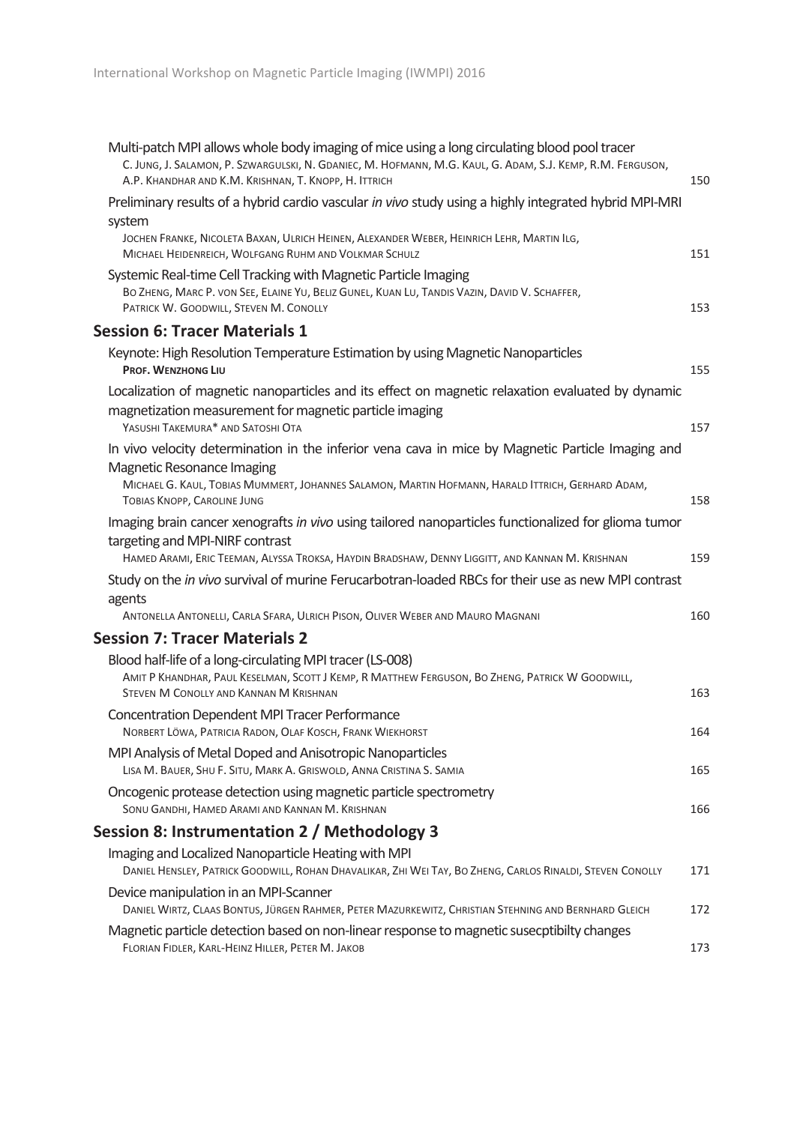| Multi-patch MPI allows whole body imaging of mice using a long circulating blood pool tracer<br>C. JUNG, J. SALAMON, P. SZWARGULSKI, N. GDANIEC, M. HOFMANN, M.G. KAUL, G. ADAM, S.J. KEMP, R.M. FERGUSON,<br>A.P. KHANDHAR AND K.M. KRISHNAN, T. KNOPP, H. ITTRICH | 150 |
|---------------------------------------------------------------------------------------------------------------------------------------------------------------------------------------------------------------------------------------------------------------------|-----|
| Preliminary results of a hybrid cardio vascular in vivo study using a highly integrated hybrid MPI-MRI                                                                                                                                                              |     |
| system                                                                                                                                                                                                                                                              |     |
| JOCHEN FRANKE, NICOLETA BAXAN, ULRICH HEINEN, ALEXANDER WEBER, HEINRICH LEHR, MARTIN ILG,<br>MICHAEL HEIDENREICH, WOLFGANG RUHM AND VOLKMAR SCHULZ                                                                                                                  | 151 |
| Systemic Real-time Cell Tracking with Magnetic Particle Imaging<br>BO ZHENG, MARC P. VON SEE, ELAINE YU, BELIZ GUNEL, KUAN LU, TANDIS VAZIN, DAVID V. SCHAFFER,<br>PATRICK W. GOODWILL, STEVEN M. CONOLLY                                                           | 153 |
| <b>Session 6: Tracer Materials 1</b>                                                                                                                                                                                                                                |     |
| Keynote: High Resolution Temperature Estimation by using Magnetic Nanoparticles<br>PROF. WENZHONG LIU                                                                                                                                                               | 155 |
| Localization of magnetic nanoparticles and its effect on magnetic relaxation evaluated by dynamic                                                                                                                                                                   |     |
| magnetization measurement for magnetic particle imaging<br>YASUSHI TAKEMURA* AND SATOSHI OTA                                                                                                                                                                        | 157 |
| In vivo velocity determination in the inferior vena cava in mice by Magnetic Particle Imaging and                                                                                                                                                                   |     |
| Magnetic Resonance Imaging<br>MICHAEL G. KAUL, TOBIAS MUMMERT, JOHANNES SALAMON, MARTIN HOFMANN, HARALD ITTRICH, GERHARD ADAM,<br>TOBIAS KNOPP, CAROLINE JUNG                                                                                                       | 158 |
| Imaging brain cancer xenografts in vivo using tailored nanoparticles functionalized for glioma tumor<br>targeting and MPI-NIRF contrast<br>HAMED ARAMI, ERIC TEEMAN, ALYSSA TROKSA, HAYDIN BRADSHAW, DENNY LIGGITT, AND KANNAN M. KRISHNAN                          | 159 |
| Study on the <i>in vivo</i> survival of murine Ferucarbotran-loaded RBCs for their use as new MPI contrast<br>agents                                                                                                                                                |     |
| ANTONELLA ANTONELLI, CARLA SFARA, ULRICH PISON, OLIVER WEBER AND MAURO MAGNANI                                                                                                                                                                                      | 160 |
| <b>Session 7: Tracer Materials 2</b>                                                                                                                                                                                                                                |     |
| Blood half-life of a long-circulating MPI tracer (LS-008)<br>AMIT P KHANDHAR, PAUL KESELMAN, SCOTT J KEMP, R MATTHEW FERGUSON, BO ZHENG, PATRICK W GOODWILL,<br>STEVEN M CONOLLY AND KANNAN M KRISHNAN                                                              | 163 |
| <b>Concentration Dependent MPI Tracer Performance</b><br>NORBERT LÖWA, PATRICIA RADON, OLAF KOSCH, FRANK WIEKHORST                                                                                                                                                  | 164 |
| MPI Analysis of Metal Doped and Anisotropic Nanoparticles<br>LISA M. BAUER, SHU F. SITU, MARK A. GRISWOLD, ANNA CRISTINA S. SAMIA                                                                                                                                   | 165 |
| Oncogenic protease detection using magnetic particle spectrometry<br>SONU GANDHI, HAMED ARAMI AND KANNAN M. KRISHNAN                                                                                                                                                | 166 |
| Session 8: Instrumentation 2 / Methodology 3                                                                                                                                                                                                                        |     |
| Imaging and Localized Nanoparticle Heating with MPI                                                                                                                                                                                                                 |     |
| DANIEL HENSLEY, PATRICK GOODWILL, ROHAN DHAVALIKAR, ZHI WEI TAY, BO ZHENG, CARLOS RINALDI, STEVEN CONOLLY                                                                                                                                                           | 171 |
| Device manipulation in an MPI-Scanner<br>DANIEL WIRTZ, CLAAS BONTUS, JÜRGEN RAHMER, PETER MAZURKEWITZ, CHRISTIAN STEHNING AND BERNHARD GLEICH                                                                                                                       | 172 |
| Magnetic particle detection based on non-linear response to magnetic susecptibilty changes<br>FLORIAN FIDLER, KARL-HEINZ HILLER, PETER M. JAKOB                                                                                                                     | 173 |